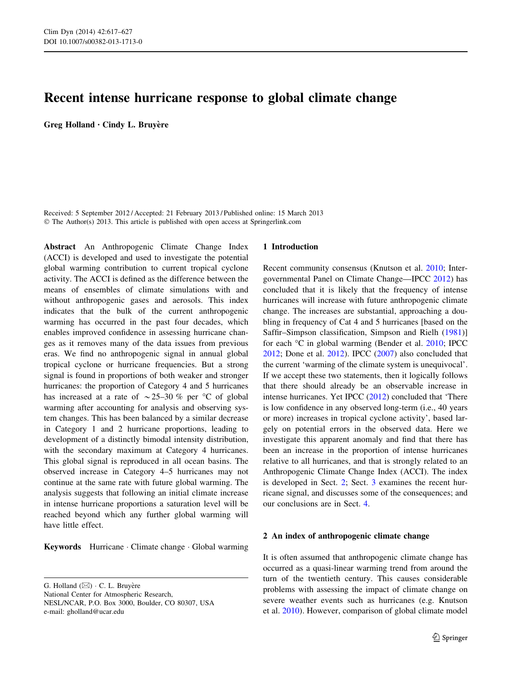# Recent intense hurricane response to global climate change

Greg Holland · Cindy L. Bruyère

Received: 5 September 2012 / Accepted: 21 February 2013 / Published online: 15 March 2013 © The Author(s) 2013. This article is published with open access at Springerlink.com

Abstract An Anthropogenic Climate Change Index (ACCI) is developed and used to investigate the potential global warming contribution to current tropical cyclone activity. The ACCI is defined as the difference between the means of ensembles of climate simulations with and without anthropogenic gases and aerosols. This index indicates that the bulk of the current anthropogenic warming has occurred in the past four decades, which enables improved confidence in assessing hurricane changes as it removes many of the data issues from previous eras. We find no anthropogenic signal in annual global tropical cyclone or hurricane frequencies. But a strong signal is found in proportions of both weaker and stronger hurricanes: the proportion of Category 4 and 5 hurricanes has increased at a rate of  $\sim$  25–30 % per °C of global warming after accounting for analysis and observing system changes. This has been balanced by a similar decrease in Category 1 and 2 hurricane proportions, leading to development of a distinctly bimodal intensity distribution, with the secondary maximum at Category 4 hurricanes. This global signal is reproduced in all ocean basins. The observed increase in Category 4–5 hurricanes may not continue at the same rate with future global warming. The analysis suggests that following an initial climate increase in intense hurricane proportions a saturation level will be reached beyond which any further global warming will have little effect.

Keywords Hurricane · Climate change · Global warming

G. Holland  $(\boxtimes) \cdot C$ . L. Bruyère National Center for Atmospheric Research, NESL/NCAR, P.O. Box 3000, Boulder, CO 80307, USA e-mail: gholland@ucar.edu

#### 1 Introduction

Recent community consensus (Knutson et al. [2010;](#page-9-0) Intergovernmental Panel on Climate Change—IPCC [2012](#page-9-0)) has concluded that it is likely that the frequency of intense hurricanes will increase with future anthropogenic climate change. The increases are substantial, approaching a doubling in frequency of Cat 4 and 5 hurricanes [based on the Saffir–Simpson classification, Simpson and Rielh ([1981\)](#page-9-0)] for each  $\mathrm{C}$  in global warming (Bender et al. [2010;](#page-9-0) IPCC [2012](#page-9-0); Done et al. [2012\)](#page-9-0). IPCC ([2007\)](#page-9-0) also concluded that the current 'warming of the climate system is unequivocal'. If we accept these two statements, then it logically follows that there should already be an observable increase in intense hurricanes. Yet IPCC ([2012\)](#page-9-0) concluded that 'There is low confidence in any observed long-term (i.e., 40 years or more) increases in tropical cyclone activity', based largely on potential errors in the observed data. Here we investigate this apparent anomaly and find that there has been an increase in the proportion of intense hurricanes relative to all hurricanes, and that is strongly related to an Anthropogenic Climate Change Index (ACCI). The index is developed in Sect. 2; Sect. [3](#page-2-0) examines the recent hurricane signal, and discusses some of the consequences; and our conclusions are in Sect. [4](#page-8-0).

# 2 An index of anthropogenic climate change

It is often assumed that anthropogenic climate change has occurred as a quasi-linear warming trend from around the turn of the twentieth century. This causes considerable problems with assessing the impact of climate change on severe weather events such as hurricanes (e.g. Knutson et al. [2010](#page-9-0)). However, comparison of global climate model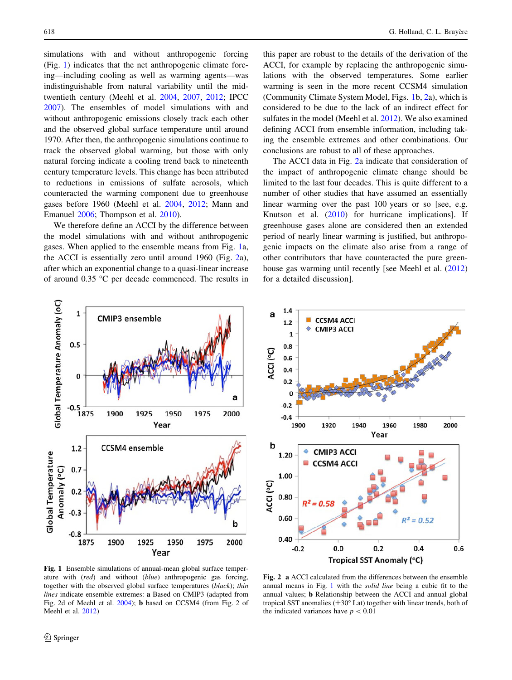<span id="page-1-0"></span>simulations with and without anthropogenic forcing (Fig. 1) indicates that the net anthropogenic climate forcing—including cooling as well as warming agents—was indistinguishable from natural variability until the midtwentieth century (Meehl et al. [2004](#page-9-0), [2007](#page-9-0), [2012;](#page-9-0) IPCC [2007\)](#page-9-0). The ensembles of model simulations with and without anthropogenic emissions closely track each other and the observed global surface temperature until around 1970. After then, the anthropogenic simulations continue to track the observed global warming, but those with only natural forcing indicate a cooling trend back to nineteenth century temperature levels. This change has been attributed to reductions in emissions of sulfate aerosols, which counteracted the warming component due to greenhouse gases before 1960 (Meehl et al. [2004](#page-9-0), [2012](#page-9-0); Mann and Emanuel [2006;](#page-9-0) Thompson et al. [2010\)](#page-10-0).

We therefore define an ACCI by the difference between the model simulations with and without anthropogenic gases. When applied to the ensemble means from Fig. 1a, the ACCI is essentially zero until around 1960 (Fig. 2a), after which an exponential change to a quasi-linear increase of around  $0.35$  °C per decade commenced. The results in

this paper are robust to the details of the derivation of the ACCI, for example by replacing the anthropogenic simulations with the observed temperatures. Some earlier warming is seen in the more recent CCSM4 simulation (Community Climate System Model, Figs. 1b, 2a), which is considered to be due to the lack of an indirect effect for sulfates in the model (Meehl et al. [2012\)](#page-9-0). We also examined defining ACCI from ensemble information, including taking the ensemble extremes and other combinations. Our conclusions are robust to all of these approaches.

The ACCI data in Fig. 2a indicate that consideration of the impact of anthropogenic climate change should be limited to the last four decades. This is quite different to a number of other studies that have assumed an essentially linear warming over the past 100 years or so [see, e.g. Knutson et al. [\(2010](#page-9-0)) for hurricane implications]. If greenhouse gases alone are considered then an extended period of nearly linear warming is justified, but anthropogenic impacts on the climate also arise from a range of other contributors that have counteracted the pure greenhouse gas warming until recently [see Meehl et al. ([2012\)](#page-9-0) for a detailed discussion].





Fig. 1 Ensemble simulations of annual-mean global surface temperature with (red) and without (blue) anthropogenic gas forcing, together with the observed global surface temperatures (black); thin lines indicate ensemble extremes: a Based on CMIP3 (adapted from Fig. 2d of Meehl et al. [2004\)](#page-9-0); b based on CCSM4 (from Fig. 2 of Meehl et al. [2012\)](#page-9-0)

Fig. 2 a ACCI calculated from the differences between the ensemble annual means in Fig. 1 with the solid line being a cubic fit to the annual values; b Relationship between the ACCI and annual global tropical SST anomalies  $(\pm 30^{\circ}$  Lat) together with linear trends, both of the indicated variances have  $p < 0.01$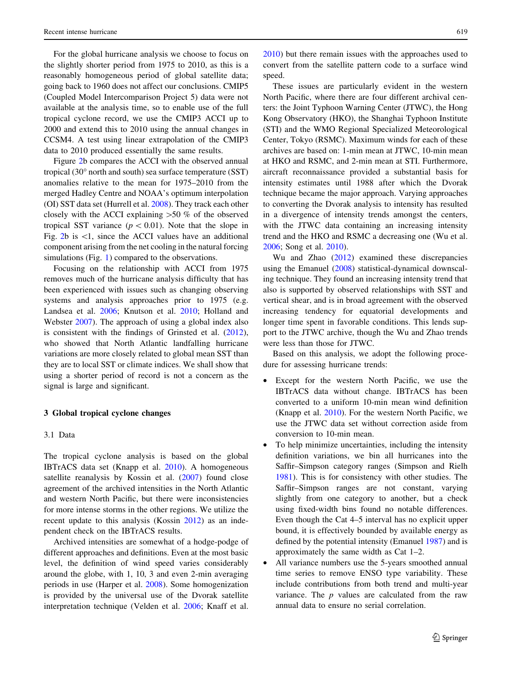<span id="page-2-0"></span>For the global hurricane analysis we choose to focus on the slightly shorter period from 1975 to 2010, as this is a reasonably homogeneous period of global satellite data; going back to 1960 does not affect our conclusions. CMIP5 (Coupled Model Intercomparison Project 5) data were not available at the analysis time, so to enable use of the full tropical cyclone record, we use the CMIP3 ACCI up to 2000 and extend this to 2010 using the annual changes in CCSM4. A test using linear extrapolation of the CMIP3 data to 2010 produced essentially the same results.

Figure [2b](#page-1-0) compares the ACCI with the observed annual tropical  $(30^{\circ}$  north and south) sea surface temperature  $(SST)$ anomalies relative to the mean for 1975–2010 from the merged Hadley Centre and NOAA's optimum interpolation (OI) SST data set (Hurrell et al. [2008\)](#page-9-0). They track each other closely with the ACCI explaining  $>50 \%$  of the observed tropical SST variance ( $p < 0.01$ ). Note that the slope in Fig. [2](#page-1-0)b is  $\lt 1$ , since the ACCI values have an additional component arising from the net cooling in the natural forcing simulations (Fig. [1](#page-1-0)) compared to the observations.

Focusing on the relationship with ACCI from 1975 removes much of the hurricane analysis difficulty that has been experienced with issues such as changing observing systems and analysis approaches prior to 1975 (e.g. Landsea et al. [2006](#page-9-0); Knutson et al. [2010;](#page-9-0) Holland and Webster [2007\)](#page-9-0). The approach of using a global index also is consistent with the findings of Grinsted et al. [\(2012](#page-9-0)), who showed that North Atlantic landfalling hurricane variations are more closely related to global mean SST than they are to local SST or climate indices. We shall show that using a shorter period of record is not a concern as the signal is large and significant.

#### 3 Global tropical cyclone changes

# 3.1 Data

The tropical cyclone analysis is based on the global IBTrACS data set (Knapp et al. [2010\)](#page-9-0). A homogeneous satellite reanalysis by Kossin et al. ([2007\)](#page-9-0) found close agreement of the archived intensities in the North Atlantic and western North Pacific, but there were inconsistencies for more intense storms in the other regions. We utilize the recent update to this analysis (Kossin [2012](#page-9-0)) as an independent check on the IBTrACS results.

Archived intensities are somewhat of a hodge-podge of different approaches and definitions. Even at the most basic level, the definition of wind speed varies considerably around the globe, with 1, 10, 3 and even 2-min averaging periods in use (Harper et al. [2008](#page-9-0)). Some homogenization is provided by the universal use of the Dvorak satellite interpretation technique (Velden et al. [2006;](#page-10-0) Knaff et al.

[2010](#page-9-0)) but there remain issues with the approaches used to convert from the satellite pattern code to a surface wind speed.

These issues are particularly evident in the western North Pacific, where there are four different archival centers: the Joint Typhoon Warning Center (JTWC), the Hong Kong Observatory (HKO), the Shanghai Typhoon Institute (STI) and the WMO Regional Specialized Meteorological Center, Tokyo (RSMC). Maximum winds for each of these archives are based on: 1-min mean at JTWC, 10-min mean at HKO and RSMC, and 2-min mean at STI. Furthermore, aircraft reconnaissance provided a substantial basis for intensity estimates until 1988 after which the Dvorak technique became the major approach. Varying approaches to converting the Dvorak analysis to intensity has resulted in a divergence of intensity trends amongst the centers, with the JTWC data containing an increasing intensity trend and the HKO and RSMC a decreasing one (Wu et al. [2006](#page-10-0); Song et al. [2010\)](#page-9-0).

Wu and Zhao ([2012\)](#page-10-0) examined these discrepancies using the Emanuel ([2008\)](#page-9-0) statistical-dynamical downscaling technique. They found an increasing intensity trend that also is supported by observed relationships with SST and vertical shear, and is in broad agreement with the observed increasing tendency for equatorial developments and longer time spent in favorable conditions. This lends support to the JTWC archive, though the Wu and Zhao trends were less than those for JTWC.

Based on this analysis, we adopt the following procedure for assessing hurricane trends:

- Except for the western North Pacific, we use the IBTrACS data without change. IBTrACS has been converted to a uniform 10-min mean wind definition (Knapp et al. [2010](#page-9-0)). For the western North Pacific, we use the JTWC data set without correction aside from conversion to 10-min mean.
- To help minimize uncertainties, including the intensity definition variations, we bin all hurricanes into the Saffir–Simpson category ranges (Simpson and Rielh [1981\)](#page-9-0). This is for consistency with other studies. The Saffir–Simpson ranges are not constant, varying slightly from one category to another, but a check using fixed-width bins found no notable differences. Even though the Cat 4–5 interval has no explicit upper bound, it is effectively bounded by available energy as defined by the potential intensity (Emanuel [1987](#page-9-0)) and is approximately the same width as Cat 1–2.
- All variance numbers use the 5-years smoothed annual time series to remove ENSO type variability. These include contributions from both trend and multi-year variance. The  $p$  values are calculated from the raw annual data to ensure no serial correlation.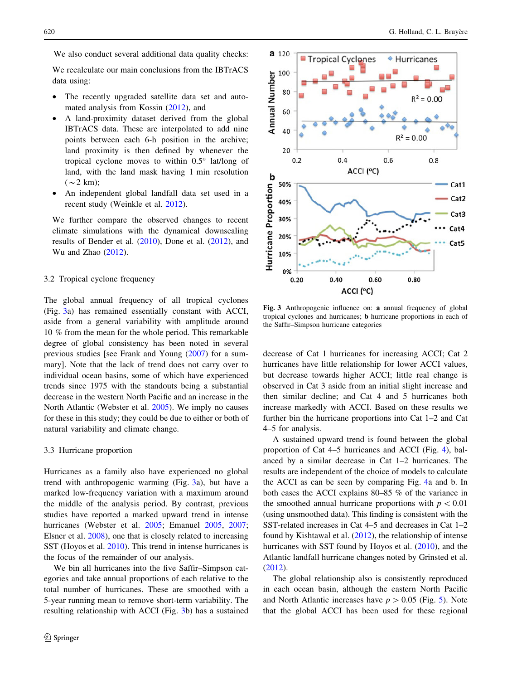<span id="page-3-0"></span>

We also conduct several additional data quality checks:

We recalculate our main conclusions from the IBTrACS data using:

- The recently upgraded satellite data set and automated analysis from Kossin [\(2012\)](#page-9-0), and
- A land-proximity dataset derived from the global IBTrACS data. These are interpolated to add nine points between each 6-h position in the archive; land proximity is then defined by whenever the tropical cyclone moves to within  $0.5^{\circ}$  lat/long of land, with the land mask having 1 min resolution  $(\sim 2 \text{ km})$ ;
- An independent global landfall data set used in a recent study (Weinkle et al. [2012\)](#page-10-0).

We further compare the observed changes to recent climate simulations with the dynamical downscaling results of Bender et al. ([2010\)](#page-9-0), Done et al. [\(2012](#page-9-0)), and Wu and Zhao ([2012\)](#page-10-0).

# 3.2 Tropical cyclone frequency

The global annual frequency of all tropical cyclones (Fig. 3a) has remained essentially constant with ACCI, aside from a general variability with amplitude around 10 % from the mean for the whole period. This remarkable degree of global consistency has been noted in several previous studies [see Frank and Young [\(2007\)](#page-9-0) for a summary]. Note that the lack of trend does not carry over to individual ocean basins, some of which have experienced trends since 1975 with the standouts being a substantial decrease in the western North Pacific and an increase in the North Atlantic (Webster et al. [2005\)](#page-10-0). We imply no causes for these in this study; they could be due to either or both of natural variability and climate change.

#### 3.3 Hurricane proportion

Hurricanes as a family also have experienced no global trend with anthropogenic warming (Fig. 3a), but have a marked low-frequency variation with a maximum around the middle of the analysis period. By contrast, previous studies have reported a marked upward trend in intense hurricanes (Webster et al. [2005;](#page-10-0) Emanuel [2005](#page-9-0), [2007](#page-9-0); Elsner et al. [2008](#page-9-0)), one that is closely related to increasing SST (Hoyos et al. [2010\)](#page-9-0). This trend in intense hurricanes is the focus of the remainder of our analysis.

We bin all hurricanes into the five Saffir–Simpson categories and take annual proportions of each relative to the total number of hurricanes. These are smoothed with a 5-year running mean to remove short-term variability. The resulting relationship with ACCI (Fig. 3b) has a sustained



Fig. 3 Anthropogenic influence on: a annual frequency of global tropical cyclones and hurricanes; b hurricane proportions in each of the Saffir–Simpson hurricane categories

decrease of Cat 1 hurricanes for increasing ACCI; Cat 2 hurricanes have little relationship for lower ACCI values, but decrease towards higher ACCI; little real change is observed in Cat 3 aside from an initial slight increase and then similar decline; and Cat 4 and 5 hurricanes both increase markedly with ACCI. Based on these results we further bin the hurricane proportions into Cat 1–2 and Cat 4–5 for analysis.

A sustained upward trend is found between the global proportion of Cat 4–5 hurricanes and ACCI (Fig. [4](#page-4-0)), balanced by a similar decrease in Cat 1–2 hurricanes. The results are independent of the choice of models to calculate the ACCI as can be seen by comparing Fig. [4](#page-4-0)a and b. In both cases the ACCI explains 80–85 % of the variance in the smoothed annual hurricane proportions with  $p < 0.01$ (using unsmoothed data). This finding is consistent with the SST-related increases in Cat 4–5 and decreases in Cat 1–2 found by Kishtawal et al. [\(2012](#page-9-0)), the relationship of intense hurricanes with SST found by Hoyos et al. ([2010\)](#page-9-0), and the Atlantic landfall hurricane changes noted by Grinsted et al. [\(2012](#page-9-0)).

The global relationship also is consistently reproduced in each ocean basin, although the eastern North Pacific and North Atlantic increases have  $p > 0.05$  (Fig. [5\)](#page-4-0). Note that the global ACCI has been used for these regional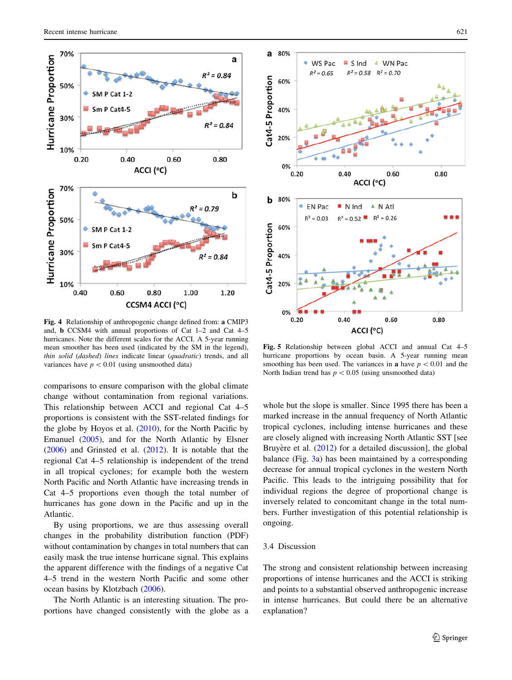<span id="page-4-0"></span>

Fig. 4 Relationship of anthropogenic change defined from: a CMIP3 and, b CCSM4 with annual proportions of Cat 1–2 and Cat 4–5 hurricanes. Note the different scales for the ACCI. A 5-year running mean smoother has been used (indicated by the SM in the legend), thin solid (dashed) lines indicate linear (quadratic) trends, and all variances have  $p < 0.01$  (using unsmoothed data)

comparisons to ensure comparison with the global climate change without contamination from regional variations. This relationship between ACCI and regional Cat 4–5 proportions is consistent with the SST-related findings for the globe by Hoyos et al.  $(2010)$  $(2010)$ , for the North Pacific by Emanuel [\(2005](#page-9-0)), and for the North Atlantic by Elsner [\(2006](#page-9-0)) and Grinsted et al. [\(2012](#page-9-0)). It is notable that the regional Cat 4–5 relationship is independent of the trend in all tropical cyclones; for example both the western North Pacific and North Atlantic have increasing trends in Cat 4–5 proportions even though the total number of hurricanes has gone down in the Pacific and up in the Atlantic.

By using proportions, we are thus assessing overall changes in the probability distribution function (PDF) without contamination by changes in total numbers that can easily mask the true intense hurricane signal. This explains the apparent difference with the findings of a negative Cat 4–5 trend in the western North Pacific and some other ocean basins by Klotzbach [\(2006](#page-9-0)).

The North Atlantic is an interesting situation. The proportions have changed consistently with the globe as a



Fig. 5 Relationship between global ACCI and annual Cat 4–5 hurricane proportions by ocean basin. A 5-year running mean smoothing has been used. The variances in **a** have  $p < 0.01$  and the North Indian trend has  $p < 0.05$  (using unsmoothed data)

whole but the slope is smaller. Since 1995 there has been a marked increase in the annual frequency of North Atlantic tropical cyclones, including intense hurricanes and these are closely aligned with increasing North Atlantic SST [see Bruyere et al.  $(2012)$  $(2012)$  for a detailed discussion], the global balance (Fig. [3a](#page-3-0)) has been maintained by a corresponding decrease for annual tropical cyclones in the western North Pacific. This leads to the intriguing possibility that for individual regions the degree of proportional change is inversely related to concomitant change in the total numbers. Further investigation of this potential relationship is ongoing.

# 3.4 Discussion

The strong and consistent relationship between increasing proportions of intense hurricanes and the ACCI is striking and points to a substantial observed anthropogenic increase in intense hurricanes. But could there be an alternative explanation?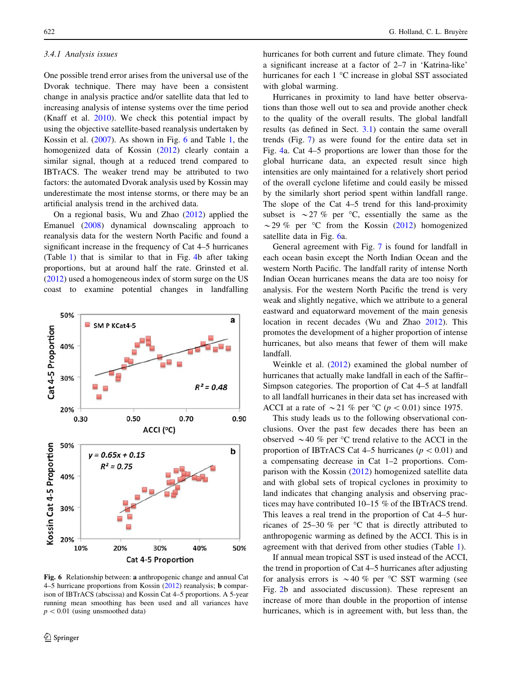#### <span id="page-5-0"></span>3.4.1 Analysis issues

One possible trend error arises from the universal use of the Dvorak technique. There may have been a consistent change in analysis practice and/or satellite data that led to increasing analysis of intense systems over the time period (Knaff et al. [2010](#page-9-0)). We check this potential impact by using the objective satellite-based reanalysis undertaken by Kossin et al. ([2007\)](#page-9-0). As shown in Fig. 6 and Table [1,](#page-6-0) the homogenized data of Kossin ([2012\)](#page-9-0) clearly contain a similar signal, though at a reduced trend compared to IBTrACS. The weaker trend may be attributed to two factors: the automated Dvorak analysis used by Kossin may underestimate the most intense storms, or there may be an artificial analysis trend in the archived data.

On a regional basis, Wu and Zhao ([2012\)](#page-10-0) applied the Emanuel ([2008\)](#page-9-0) dynamical downscaling approach to reanalysis data for the western North Pacific and found a significant increase in the frequency of Cat 4–5 hurricanes (Table [1](#page-6-0)) that is similar to that in Fig. [4](#page-4-0)b after taking proportions, but at around half the rate. Grinsted et al. [\(2012](#page-9-0)) used a homogeneous index of storm surge on the US coast to examine potential changes in landfalling



Fig. 6 Relationship between: a anthropogenic change and annual Cat 4–5 hurricane proportions from Kossin ([2012\)](#page-9-0) reanalysis; b comparison of IBTrACS (abscissa) and Kossin Cat 4–5 proportions. A 5-year running mean smoothing has been used and all variances have  $p<0.01$  (using unsmoothed data)

hurricanes for both current and future climate. They found a significant increase at a factor of 2–7 in 'Katrina-like' hurricanes for each  $1 \text{ °C}$  increase in global SST associated with global warming.

Hurricanes in proximity to land have better observations than those well out to sea and provide another check to the quality of the overall results. The global landfall results (as defined in Sect. [3.1](#page-2-0)) contain the same overall trends (Fig. [7\)](#page-6-0) as were found for the entire data set in Fig. [4](#page-4-0)a. Cat 4–5 proportions are lower than those for the global hurricane data, an expected result since high intensities are only maintained for a relatively short period of the overall cyclone lifetime and could easily be missed by the similarly short period spent within landfall range. The slope of the Cat 4–5 trend for this land-proximity subset is  $\sim$  27 % per °C, essentially the same as the  $\sim$  29 % per °C from the Kossin ([2012\)](#page-9-0) homogenized satellite data in Fig. 6a.

General agreement with Fig. [7](#page-6-0) is found for landfall in each ocean basin except the North Indian Ocean and the western North Pacific. The landfall rarity of intense North Indian Ocean hurricanes means the data are too noisy for analysis. For the western North Pacific the trend is very weak and slightly negative, which we attribute to a general eastward and equatorward movement of the main genesis location in recent decades (Wu and Zhao [2012\)](#page-10-0). This promotes the development of a higher proportion of intense hurricanes, but also means that fewer of them will make landfall.

Weinkle et al. ([2012\)](#page-10-0) examined the global number of hurricanes that actually make landfall in each of the Saffir– Simpson categories. The proportion of Cat 4–5 at landfall to all landfall hurricanes in their data set has increased with ACCI at a rate of  $\sim$  21 % per °C ( $p$  < 0.01) since 1975.

This study leads us to the following observational conclusions. Over the past few decades there has been an observed  $\sim$  40 % per °C trend relative to the ACCI in the proportion of IBTrACS Cat 4–5 hurricanes ( $p < 0.01$ ) and a compensating decrease in Cat 1–2 proportions. Comparison with the Kossin [\(2012](#page-9-0)) homogenized satellite data and with global sets of tropical cyclones in proximity to land indicates that changing analysis and observing practices may have contributed 10–15 % of the IBTrACS trend. This leaves a real trend in the proportion of Cat 4–5 hurricanes of  $25-30\%$  per °C that is directly attributed to anthropogenic warming as defined by the ACCI. This is in agreement with that derived from other studies (Table [1](#page-6-0)).

If annual mean tropical SST is used instead of the ACCI, the trend in proportion of Cat 4–5 hurricanes after adjusting for analysis errors is  $\sim$  40 % per °C SST warming (see Fig. [2](#page-1-0)b and associated discussion). These represent an increase of more than double in the proportion of intense hurricanes, which is in agreement with, but less than, the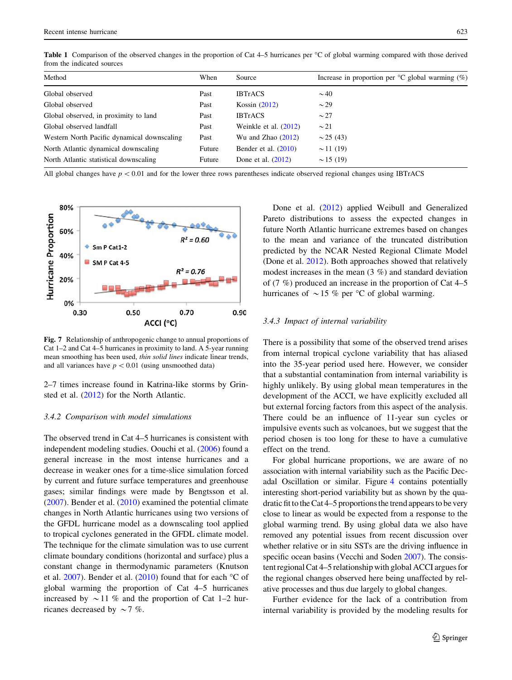<span id="page-6-0"></span>

| $\mathbf{v}$ $\mathbf{v}$ $\mathbf{v}$ $\mathbf{v}$ |                                                                                                                                         |  |  |  |  |  |  |
|-----------------------------------------------------|-----------------------------------------------------------------------------------------------------------------------------------------|--|--|--|--|--|--|
|                                                     | from the indicated sources                                                                                                              |  |  |  |  |  |  |
|                                                     | Table 1 Comparison of the observed changes in the proportion of Cat 4–5 hurricanes per °C of global warming compared with those derived |  |  |  |  |  |  |

| Method<br>When<br>Source                                                                      | Increase in proportion per ${}^{\circ}C$ global warming (%) |  |  |  |
|-----------------------------------------------------------------------------------------------|-------------------------------------------------------------|--|--|--|
| Global observed<br><b>IBTrACS</b><br>$\sim$ 40<br>Past                                        |                                                             |  |  |  |
| Kossin $(2012)$<br>Global observed<br>$\sim$ 29<br>Past                                       |                                                             |  |  |  |
| Global observed, in proximity to land<br><b>IBTrACS</b><br>$\sim$ 27<br>Past                  |                                                             |  |  |  |
| Global observed landfall<br>Weinkle et al. (2012)<br>$\sim$ 21<br>Past                        |                                                             |  |  |  |
| Western North Pacific dynamical downscaling<br>Wu and Zhao $(2012)$<br>Past<br>$\sim$ 25 (43) |                                                             |  |  |  |
| North Atlantic dynamical downscaling<br>Bender et al. $(2010)$<br>$\sim$ 11 (19)<br>Future    |                                                             |  |  |  |
| North Atlantic statistical downscaling<br>Done et al. $(2012)$<br>$\sim$ 15 (19)<br>Future    |                                                             |  |  |  |

All global changes have  $p < 0.01$  and for the lower three rows parentheses indicate observed regional changes using IBTrACS



Fig. 7 Relationship of anthropogenic change to annual proportions of Cat 1–2 and Cat 4–5 hurricanes in proximity to land. A 5-year running mean smoothing has been used, thin solid lines indicate linear trends, and all variances have  $p < 0.01$  (using unsmoothed data)

2–7 times increase found in Katrina-like storms by Grinsted et al. [\(2012](#page-9-0)) for the North Atlantic.

## 3.4.2 Comparison with model simulations

The observed trend in Cat 4–5 hurricanes is consistent with independent modeling studies. Oouchi et al. [\(2006](#page-9-0)) found a general increase in the most intense hurricanes and a decrease in weaker ones for a time-slice simulation forced by current and future surface temperatures and greenhouse gases; similar findings were made by Bengtsson et al. [\(2007](#page-9-0)). Bender et al. ([2010\)](#page-9-0) examined the potential climate changes in North Atlantic hurricanes using two versions of the GFDL hurricane model as a downscaling tool applied to tropical cyclones generated in the GFDL climate model. The technique for the climate simulation was to use current climate boundary conditions (horizontal and surface) plus a constant change in thermodynamic parameters (Knutson et al.  $2007$ ). Bender et al.  $(2010)$  $(2010)$  found that for each °C of global warming the proportion of Cat 4–5 hurricanes increased by  $\sim$  11 % and the proportion of Cat 1–2 hurricanes decreased by  $\sim$  7 %.

Done et al. [\(2012](#page-9-0)) applied Weibull and Generalized Pareto distributions to assess the expected changes in future North Atlantic hurricane extremes based on changes to the mean and variance of the truncated distribution predicted by the NCAR Nested Regional Climate Model (Done et al. [2012](#page-9-0)). Both approaches showed that relatively modest increases in the mean (3 %) and standard deviation of (7 %) produced an increase in the proportion of Cat 4–5 hurricanes of  $\sim$  15 % per °C of global warming.

#### 3.4.3 Impact of internal variability

There is a possibility that some of the observed trend arises from internal tropical cyclone variability that has aliased into the 35-year period used here. However, we consider that a substantial contamination from internal variability is highly unlikely. By using global mean temperatures in the development of the ACCI, we have explicitly excluded all but external forcing factors from this aspect of the analysis. There could be an influence of 11-year sun cycles or impulsive events such as volcanoes, but we suggest that the period chosen is too long for these to have a cumulative effect on the trend.

For global hurricane proportions, we are aware of no association with internal variability such as the Pacific Decadal Oscillation or similar. Figure [4](#page-4-0) contains potentially interesting short-period variability but as shown by the quadratic fit to the Cat 4–5 proportions the trend appears to be very close to linear as would be expected from a response to the global warming trend. By using global data we also have removed any potential issues from recent discussion over whether relative or in situ SSTs are the driving influence in specific ocean basins (Vecchi and Soden [2007\)](#page-10-0). The consistent regional Cat 4–5 relationship with global ACCI argues for the regional changes observed here being unaffected by relative processes and thus due largely to global changes.

Further evidence for the lack of a contribution from internal variability is provided by the modeling results for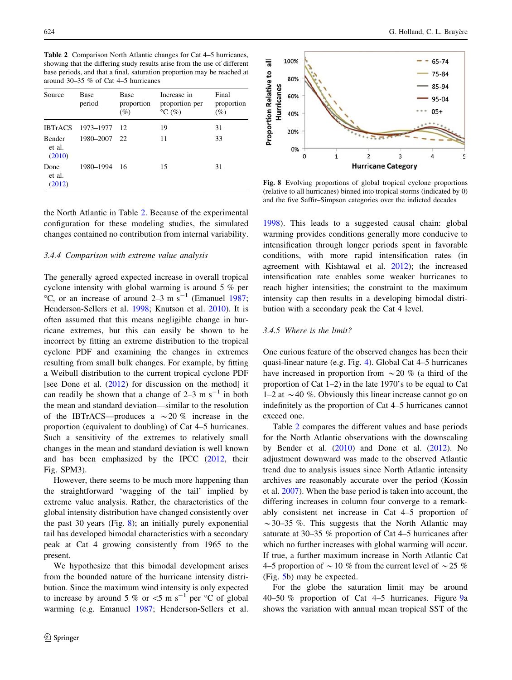<span id="page-7-0"></span>Table 2 Comparison North Atlantic changes for Cat 4–5 hurricanes, showing that the differing study results arise from the use of different base periods, and that a final, saturation proportion may be reached at around 30–35 % of Cat 4–5 hurricanes

| Source                            | Base<br>period | Base<br>proportion<br>$(\%)$ | Increase in<br>proportion per<br>$\rm{^{\circ}C}$ (%) | Final<br>proportion<br>$(\%)$ |
|-----------------------------------|----------------|------------------------------|-------------------------------------------------------|-------------------------------|
| <b>IBTrACS</b>                    | 1973–1977 12   |                              | 19                                                    | 31                            |
| <b>Bender</b><br>et al.<br>(2010) | 1980-2007 22   |                              | 11                                                    | 33                            |
| Done<br>et al.<br>(2012)          | 1980–1994      | - 16                         | 15                                                    | 31                            |

the North Atlantic in Table 2. Because of the experimental configuration for these modeling studies, the simulated changes contained no contribution from internal variability.

#### 3.4.4 Comparison with extreme value analysis

The generally agreed expected increase in overall tropical cyclone intensity with global warming is around 5 % per  $^{\circ}$ C, or an increase of around 2–3 m s<sup>-1</sup> (Emanuel [1987](#page-9-0); Henderson-Sellers et al. [1998;](#page-9-0) Knutson et al. [2010\)](#page-9-0). It is often assumed that this means negligible change in hurricane extremes, but this can easily be shown to be incorrect by fitting an extreme distribution to the tropical cyclone PDF and examining the changes in extremes resulting from small bulk changes. For example, by fitting a Weibull distribution to the current tropical cyclone PDF [see Done et al. [\(2012\)](#page-9-0) for discussion on the method] it can readily be shown that a change of  $2-3$  m s<sup>-1</sup> in both the mean and standard deviation—similar to the resolution of the IBTrACS—produces a  $\sim$  20 % increase in the proportion (equivalent to doubling) of Cat 4–5 hurricanes. Such a sensitivity of the extremes to relatively small changes in the mean and standard deviation is well known and has been emphasized by the IPCC [\(2012](#page-9-0), their Fig. SPM3).

However, there seems to be much more happening than the straightforward 'wagging of the tail' implied by extreme value analysis. Rather, the characteristics of the global intensity distribution have changed consistently over the past 30 years (Fig. 8); an initially purely exponential tail has developed bimodal characteristics with a secondary peak at Cat 4 growing consistently from 1965 to the present.

We hypothesize that this bimodal development arises from the bounded nature of the hurricane intensity distribution. Since the maximum wind intensity is only expected to increase by around 5 % or  $\lt$  5 m s<sup>-1</sup> per °C of global warming (e.g. Emanuel [1987;](#page-9-0) Henderson-Sellers et al.



Fig. 8 Evolving proportions of global tropical cyclone proportions (relative to all hurricanes) binned into tropical storms (indicated by 0) and the five Saffir–Simpson categories over the indicted decades

[1998](#page-9-0)). This leads to a suggested causal chain: global warming provides conditions generally more conducive to intensification through longer periods spent in favorable conditions, with more rapid intensification rates (in agreement with Kishtawal et al. [2012](#page-9-0)); the increased intensification rate enables some weaker hurricanes to reach higher intensities; the constraint to the maximum intensity cap then results in a developing bimodal distribution with a secondary peak the Cat 4 level.

# 3.4.5 Where is the limit?

One curious feature of the observed changes has been their quasi-linear nature (e.g. Fig. [4](#page-4-0)). Global Cat 4–5 hurricanes have increased in proportion from  $\sim$  20 % (a third of the proportion of Cat 1–2) in the late 1970's to be equal to Cat 1–2 at  $\sim$  40 %. Obviously this linear increase cannot go on indefinitely as the proportion of Cat 4–5 hurricanes cannot exceed one.

Table 2 compares the different values and base periods for the North Atlantic observations with the downscaling by Bender et al.  $(2010)$  $(2010)$  and Done et al.  $(2012)$  $(2012)$ . No adjustment downward was made to the observed Atlantic trend due to analysis issues since North Atlantic intensity archives are reasonably accurate over the period (Kossin et al. [2007\)](#page-9-0). When the base period is taken into account, the differing increases in column four converge to a remarkably consistent net increase in Cat 4–5 proportion of  $\sim$ 30–35 %. This suggests that the North Atlantic may saturate at 30–35 % proportion of Cat 4–5 hurricanes after which no further increases with global warming will occur. If true, a further maximum increase in North Atlantic Cat 4–5 proportion of  $\sim$  10 % from the current level of  $\sim$  25 % (Fig. [5b](#page-4-0)) may be expected.

For the globe the saturation limit may be around 40–50 % proportion of Cat 4–5 hurricanes. Figure [9a](#page-8-0) shows the variation with annual mean tropical SST of the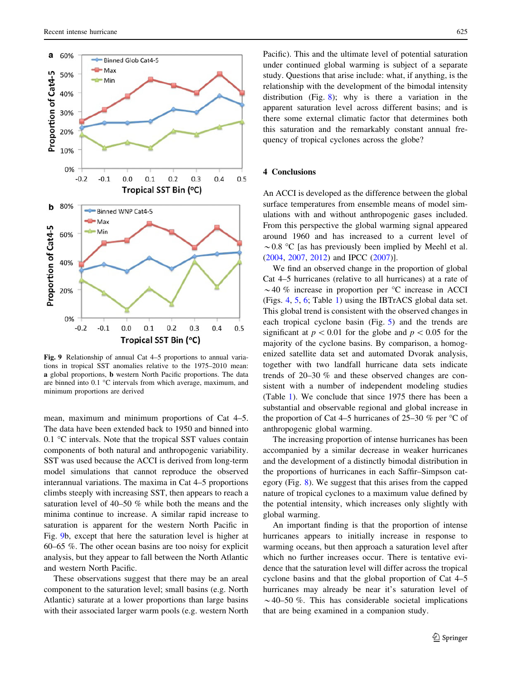<span id="page-8-0"></span>

Fig. 9 Relationship of annual Cat 4–5 proportions to annual variations in tropical SST anomalies relative to the 1975–2010 mean: a global proportions, b western North Pacific proportions. The data are binned into  $0.1 \text{ °C}$  intervals from which average, maximum, and minimum proportions are derived

mean, maximum and minimum proportions of Cat 4–5. The data have been extended back to 1950 and binned into  $0.1 \text{ °C}$  intervals. Note that the tropical SST values contain components of both natural and anthropogenic variability. SST was used because the ACCI is derived from long-term model simulations that cannot reproduce the observed interannual variations. The maxima in Cat 4–5 proportions climbs steeply with increasing SST, then appears to reach a saturation level of 40–50 % while both the means and the minima continue to increase. A similar rapid increase to saturation is apparent for the western North Pacific in Fig. 9b, except that here the saturation level is higher at 60–65 %. The other ocean basins are too noisy for explicit analysis, but they appear to fall between the North Atlantic and western North Pacific.

These observations suggest that there may be an areal component to the saturation level; small basins (e.g. North Atlantic) saturate at a lower proportions than large basins with their associated larger warm pools (e.g. western North Pacific). This and the ultimate level of potential saturation under continued global warming is subject of a separate study. Questions that arise include: what, if anything, is the relationship with the development of the bimodal intensity distribution (Fig. [8\)](#page-7-0); why is there a variation in the apparent saturation level across different basins; and is there some external climatic factor that determines both this saturation and the remarkably constant annual frequency of tropical cyclones across the globe?

# 4 Conclusions

An ACCI is developed as the difference between the global surface temperatures from ensemble means of model simulations with and without anthropogenic gases included. From this perspective the global warming signal appeared around 1960 and has increased to a current level of  $\sim$  0.8 °C [as has previously been implied by Meehl et al. [\(2004](#page-9-0), [2007](#page-9-0), [2012\)](#page-9-0) and IPCC [\(2007](#page-9-0))].

We find an observed change in the proportion of global Cat 4–5 hurricanes (relative to all hurricanes) at a rate of  $\sim$  40 % increase in proportion per  $\degree$ C increase in ACCI (Figs. [4](#page-4-0), [5,](#page-4-0) [6](#page-5-0); Table [1](#page-6-0)) using the IBTrACS global data set. This global trend is consistent with the observed changes in each tropical cyclone basin (Fig. [5](#page-4-0)) and the trends are significant at  $p<0.01$  for the globe and  $p<0.05$  for the majority of the cyclone basins. By comparison, a homogenized satellite data set and automated Dvorak analysis, together with two landfall hurricane data sets indicate trends of 20–30 % and these observed changes are consistent with a number of independent modeling studies (Table [1\)](#page-6-0). We conclude that since 1975 there has been a substantial and observable regional and global increase in the proportion of Cat 4–5 hurricanes of 25–30 % per  $\degree$ C of anthropogenic global warming.

The increasing proportion of intense hurricanes has been accompanied by a similar decrease in weaker hurricanes and the development of a distinctly bimodal distribution in the proportions of hurricanes in each Saffir–Simpson category (Fig. [8](#page-7-0)). We suggest that this arises from the capped nature of tropical cyclones to a maximum value defined by the potential intensity, which increases only slightly with global warming.

An important finding is that the proportion of intense hurricanes appears to initially increase in response to warming oceans, but then approach a saturation level after which no further increases occur. There is tentative evidence that the saturation level will differ across the tropical cyclone basins and that the global proportion of Cat 4–5 hurricanes may already be near it's saturation level of  $\sim$  40–50 %. This has considerable societal implications that are being examined in a companion study.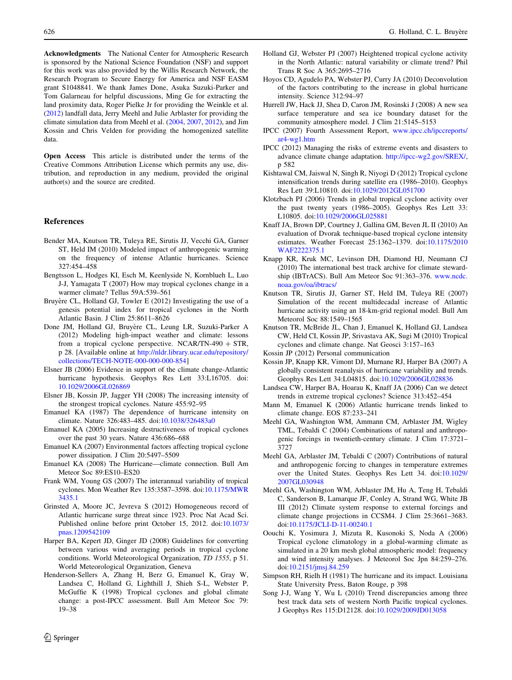<span id="page-9-0"></span>Acknowledgments The National Center for Atmospheric Research is sponsored by the National Science Foundation (NSF) and support for this work was also provided by the Willis Research Network, the Research Program to Secure Energy for America and NSF EASM grant S1048841. We thank James Done, Asuka Suzuki-Parker and Tom Galarneau for helpful discussions, Ming Ge for extracting the land proximity data, Roger Pielke Jr for providing the Weinkle et al. ([2012\)](#page-10-0) landfall data, Jerry Meehl and Julie Arblaster for providing the climate simulation data from Meehl et al. (2004, 2007, 2012), and Jim Kossin and Chris Velden for providing the homogenized satellite data.

Open Access This article is distributed under the terms of the Creative Commons Attribution License which permits any use, distribution, and reproduction in any medium, provided the original author(s) and the source are credited.

#### References

- Bender MA, Knutson TR, Tuleya RE, Sirutis JJ, Vecchi GA, Garner ST, Held IM (2010) Modeled impact of anthropogenic warming on the frequency of intense Atlantic hurricanes. Science 327:454–458
- Bengtsson L, Hodges KI, Esch M, Keenlyside N, Kornblueh L, Luo J-J, Yamagata T (2007) How may tropical cyclones change in a warmer climate? Tellus 59A:539–561
- Bruyère CL, Holland GJ, Towler E  $(2012)$  Investigating the use of a genesis potential index for tropical cyclones in the North Atlantic Basin. J Clim 25:8611–8626
- Done JM, Holland GJ, Bruyère CL, Leung LR, Suzuki-Parker A (2012) Modeling high-impact weather and climate: lessons from a tropical cyclone perspective. NCAR/TN-490  $+$  STR, p 28. [Available online at [http://nldr.library.ucar.edu/repository/](http://nldr.library.ucar.edu/repository/collections/TECH-NOTE-000-000-000-854) [collections/TECH-NOTE-000-000-000-854\]](http://nldr.library.ucar.edu/repository/collections/TECH-NOTE-000-000-000-854)
- Elsner JB (2006) Evidence in support of the climate change-Atlantic hurricane hypothesis. Geophys Res Lett 33:L16705. doi: [10.1029/2006GL026869](http://dx.doi.org/10.1029/2006GL026869)
- Elsner JB, Kossin JP, Jagger YH (2008) The increasing intensity of the strongest tropical cyclones. Nature 455:92–95
- Emanuel KA (1987) The dependence of hurricane intensity on climate. Nature 326:483–485. doi:[10.1038/326483a0](http://dx.doi.org/10.1038/326483a0)
- Emanuel KA (2005) Increasing destructiveness of tropical cyclones over the past 30 years. Nature 436:686–688
- Emanuel KA (2007) Environmental factors affecting tropical cyclone power dissipation. J Clim 20:5497–5509
- Emanuel KA (2008) The Hurricane—climate connection. Bull Am Meteor Soc 89:ES10–ES20
- Frank WM, Young GS (2007) The interannual variability of tropical cyclones. Mon Weather Rev 135:3587–3598. doi[:10.1175/MWR](http://dx.doi.org/10.1175/MWR3435.1) [3435.1](http://dx.doi.org/10.1175/MWR3435.1)
- Grinsted A, Moore JC, Jevreva S (2012) Homogeneous record of Atlantic hurricane surge threat since 1923. Proc Nat Acad Sci. Published online before print October 15, 2012. doi[:10.1073/](http://dx.doi.org/10.1073/pnas.1209542109) [pnas.1209542109](http://dx.doi.org/10.1073/pnas.1209542109)
- Harper BA, Kepert JD, Ginger JD (2008) Guidelines for converting between various wind averaging periods in tropical cyclone conditions. World Meteorological Organization, TD 1555, p 51. World Meteorological Organization, Geneva
- Henderson-Sellers A, Zhang H, Berz G, Emanuel K, Gray W, Landsea C, Holland G, Lighthill J, Shieh S-L, Webster P, McGuffie K (1998) Tropical cyclones and global climate change: a post-IPCC assessment. Bull Am Meteor Soc 79: 19–38
- Holland GJ, Webster PJ (2007) Heightened tropical cyclone activity in the North Atlantic: natural variability or climate trend? Phil Trans R Soc A 365:2695–2716
- Hoyos CD, Agudelo PA, Webster PJ, Curry JA (2010) Deconvolution of the factors contributing to the increase in global hurricane intensity. Science 312:94–97
- Hurrell JW, Hack JJ, Shea D, Caron JM, Rosinski J (2008) A new sea surface temperature and sea ice boundary dataset for the community atmosphere model. J Clim 21:5145–5153
- IPCC (2007) Fourth Assessment Report, [www.ipcc.ch/ipccreports/](http://www.ipcc.ch/ipccreports/ar4-wg1.htm) [ar4-wg1.htm](http://www.ipcc.ch/ipccreports/ar4-wg1.htm)
- IPCC (2012) Managing the risks of extreme events and disasters to advance climate change adaptation. <http://ipcc-wg2.gov/SREX/>, p 582
- Kishtawal CM, Jaiswal N, Singh R, Niyogi D (2012) Tropical cyclone intensification trends during satellite era (1986–2010). Geophys Res Lett 39:L10810. doi:[10.1029/2012GL051700](http://dx.doi.org/10.1029/2012GL051700)
- Klotzbach PJ (2006) Trends in global tropical cyclone activity over the past twenty years (1986–2005). Geophys Res Lett 33: L10805. doi:[10.1029/2006GL025881](http://dx.doi.org/10.1029/2006GL025881)
- Knaff JA, Brown DP, Courtney J, Gallina GM, Beven JL II (2010) An evaluation of Dvorak technique-based tropical cyclone intensity estimates. Weather Forecast 25:1362–1379. doi[:10.1175/2010](http://dx.doi.org/10.1175/2010WAF2222375.1) [WAF2222375.1](http://dx.doi.org/10.1175/2010WAF2222375.1)
- Knapp KR, Kruk MC, Levinson DH, Diamond HJ, Neumann CJ (2010) The international best track archive for climate stewardship (IBTrACS). Bull Am Meteor Soc 91:363–376. [www.ncdc.](http://www.ncdc.noaa.gov/oa/ibtracs/) [noaa.gov/oa/ibtracs/](http://www.ncdc.noaa.gov/oa/ibtracs/)
- Knutson TR, Sirutis JJ, Garner ST, Held IM, Tuleya RE (2007) Simulation of the recent multidecadal increase of Atlantic hurricane activity using an 18-km-grid regional model. Bull Am Meteorol Soc 88:1549–1565
- Knutson TR, McBride JL, Chan J, Emanuel K, Holland GJ, Landsea CW, Held CI, Kossin JP, Srivastava AK, Sugi M (2010) Tropical cyclones and climate change. Nat Geosci 3:157–163
- Kossin JP (2012) Personal communication
- Kossin JP, Knapp KR, Vimont DJ, Murnane RJ, Harper BA (2007) A globally consistent reanalysis of hurricane variability and trends. Geophys Res Lett 34:L04815. doi:[10.1029/2006GL028836](http://dx.doi.org/10.1029/2006GL028836)
- Landsea CW, Harper BA, Hoarau K, Knaff JA (2006) Can we detect trends in extreme tropical cyclones? Science 313:452–454
- Mann M, Emanuel K (2006) Atlantic hurricane trends linked to climate change. EOS 87:233–241
- Meehl GA, Washington WM, Ammann CM, Arblaster JM, Wigley TML, Tebaldi C (2004) Combinations of natural and anthropogenic forcings in twentieth-century climate. J Clim 17:3721– 3727
- Meehl GA, Arblaster JM, Tebaldi C (2007) Contributions of natural and anthropogenic forcing to changes in temperature extremes over the United States. Geophys Res Lett 34. doi[:10.1029/](http://dx.doi.org/10.1029/2007GL030948) [2007GL030948](http://dx.doi.org/10.1029/2007GL030948)
- Meehl GA, Washington WM, Arblaster JM, Hu A, Teng H, Tebaldi C, Sanderson B, Lamarque JF, Conley A, Strand WG, White JB III (2012) Climate system response to external forcings and climate change projections in CCSM4. J Clim 25:3661–3683. doi[:10.1175/JCLI-D-11-00240.1](http://dx.doi.org/10.1175/JCLI-D-11-00240.1)
- Oouchi K, Yosimura J, Mizuta R, Kusonoki S, Noda A (2006) Tropical cyclone climatology in a global-warming climate as simulated in a 20 km mesh global atmospheric model: frequency and wind intensity analyses. J Meteorol Soc Jpn 84:259–276. doi[:10.2151/jmsj.84.259](http://dx.doi.org/10.2151/jmsj.84.259)
- Simpson RH, Rielh H (1981) The hurricane and its impact. Louisiana State University Press, Baton Rouge, p 398
- Song J-J, Wang Y, Wu L (2010) Trend discrepancies among three best track data sets of western North Pacific tropical cyclones. J Geophys Res 115:D12128. doi[:10.1029/2009JD013058](http://dx.doi.org/10.1029/2009JD013058)